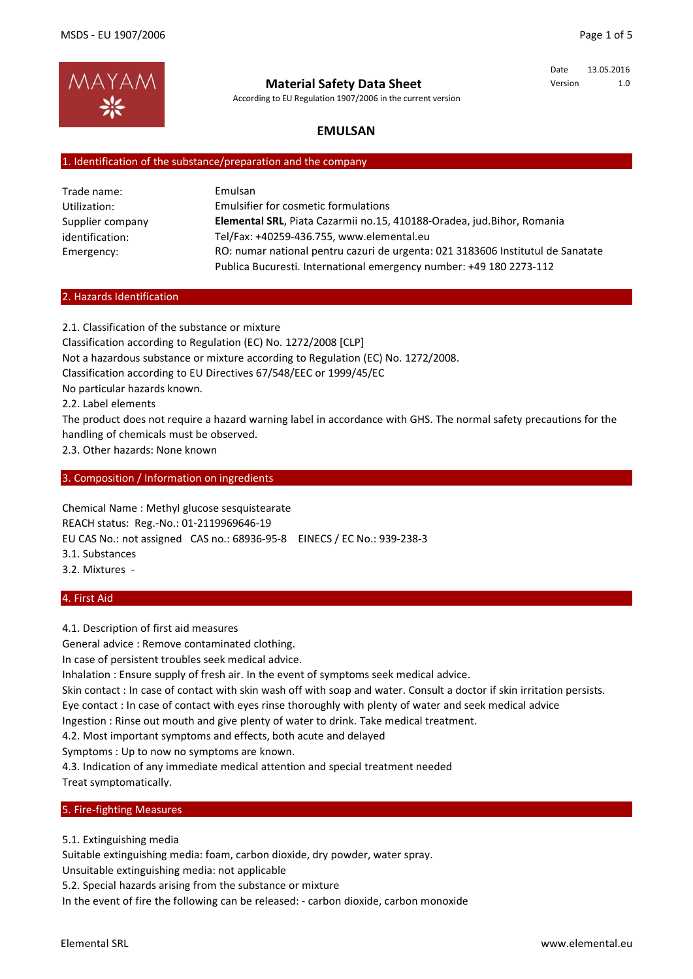Date 13.05.2016 Version 1.0



**Material Safety Data Sheet**

According to EU Regulation 1907/2006 in the current version

# **EMULSAN**

# 1. Identification of the substance/preparation and the company

| Trade name:      | Emulsan                                                                         |
|------------------|---------------------------------------------------------------------------------|
| Utilization:     | Emulsifier for cosmetic formulations                                            |
| Supplier company | Elemental SRL, Piata Cazarmii no.15, 410188-Oradea, jud.Bihor, Romania          |
| identification:  | Tel/Fax: +40259-436.755, www.elemental.eu                                       |
| Emergency:       | RO: numar national pentru cazuri de urgenta: 021 3183606 Institutul de Sanatate |
|                  | Publica Bucuresti. International emergency number: +49 180 2273-112             |

#### 2. Hazards Identification

2.1. Classification of the substance or mixture Classification according to Regulation (EC) No. 1272/2008 [CLP] Not a hazardous substance or mixture according to Regulation (EC) No. 1272/2008. Classification according to EU Directives 67/548/EEC or 1999/45/EC No particular hazards known. 2.2. Label elements

The product does not require a hazard warning label in accordance with GHS. The normal safety precautions for the handling of chemicals must be observed.

2.3. Other hazards: None known

3. Composition / Information on ingredients

Chemical Name : Methyl glucose sesquistearate REACH status: Reg.-No.: 01-2119969646-19 EU CAS No.: not assigned CAS no.: 68936-95-8 EINECS / EC No.: 939-238-3 3.1. Substances 3.2. Mixtures -

### 4. First Aid

4.1. Description of first aid measures

General advice : Remove contaminated clothing.

In case of persistent troubles seek medical advice.

Inhalation : Ensure supply of fresh air. In the event of symptoms seek medical advice.

Skin contact : In case of contact with skin wash off with soap and water. Consult a doctor if skin irritation persists. Eye contact : In case of contact with eyes rinse thoroughly with plenty of water and seek medical advice

Ingestion : Rinse out mouth and give plenty of water to drink. Take medical treatment.

4.2. Most important symptoms and effects, both acute and delayed

Symptoms : Up to now no symptoms are known.

4.3. Indication of any immediate medical attention and special treatment needed Treat symptomatically.

#### 5. Fire-fighting Measures

5.1. Extinguishing media

Suitable extinguishing media: foam, carbon dioxide, dry powder, water spray.

Unsuitable extinguishing media: not applicable

5.2. Special hazards arising from the substance or mixture

In the event of fire the following can be released: - carbon dioxide, carbon monoxide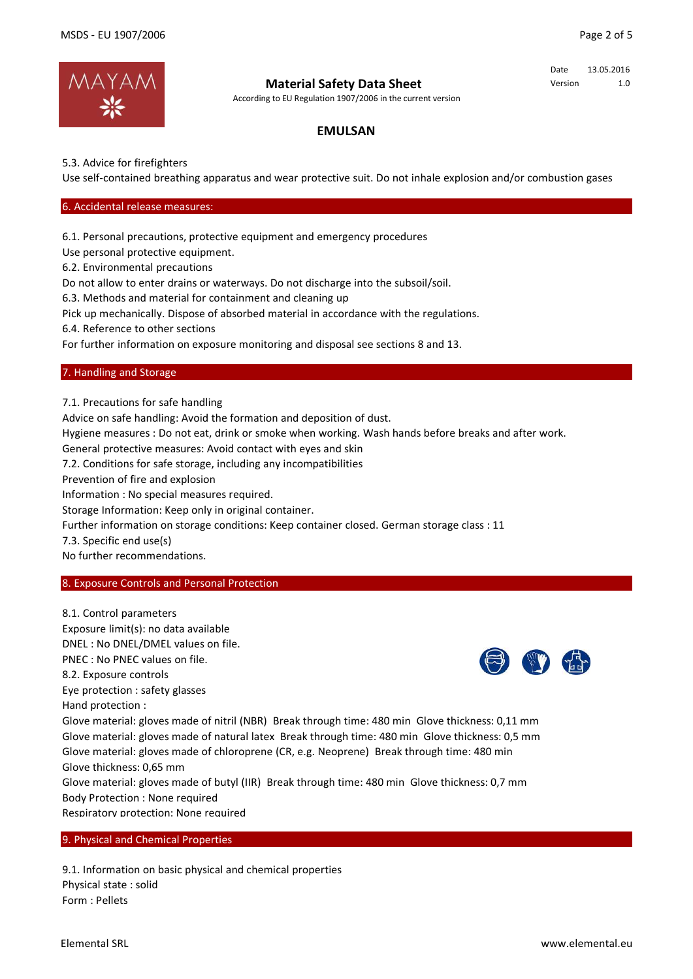Date 13.05.2016 Version 1.0



# **Material Safety Data Sheet**

According to EU Regulation 1907/2006 in the current version

# **EMULSAN**

5.3. Advice for firefighters

Use self-contained breathing apparatus and wear protective suit. Do not inhale explosion and/or combustion gases

## 6. Accidental release measures:

6.1. Personal precautions, protective equipment and emergency procedures

Use personal protective equipment.

6.2. Environmental precautions

Do not allow to enter drains or waterways. Do not discharge into the subsoil/soil.

In the event of fire the following can be released: - carbon dioxide, carbon monoxide

6.3. Methods and material for containment and cleaning up

Pick up mechanically. Dispose of absorbed material in accordance with the regulations.

6.4. Reference to other sections

For further information on exposure monitoring and disposal see sections 8 and 13.

## 7. Handling and Storage

7.1. Precautions for safe handling

Advice on safe handling: Avoid the formation and deposition of dust.

Hygiene measures : Do not eat, drink or smoke when working. Wash hands before breaks and after work.

General protective measures: Avoid contact with eyes and skin

7.2. Conditions for safe storage, including any incompatibilities

Prevention of fire and explosion

Information : No special measures required.

Storage Information: Keep only in original container.

Further information on storage conditions: Keep container closed. German storage class : 11

7.3. Specific end use(s)

No further recommendations.

### 8. Exposure Controls and Personal Protection

8.1. Control parameters Exposure limit(s): no data available DNEL : No DNEL/DMEL values on file. PNEC : No PNEC values on file. 8.2. Exposure controls Eye protection : safety glasses Hand protection : Glove material: gloves made of nitril (NBR) Break through time: 480 min Glove thickness: 0,11 mm Glove material: gloves made of natural latex Break through time: 480 min Glove thickness: 0,5 mm Glove material: gloves made of chloroprene (CR, e.g. Neoprene) Break through time: 480 min Glove thickness: 0,65 mm Glove material: gloves made of butyl (IIR) Break through time: 480 min Glove thickness: 0,7 mm Body Protection : None required Respiratory protection: None required

9. Physical and Chemical Properties

9.1. Information on basic physical and chemical properties Physical state : solid Form : Pellets

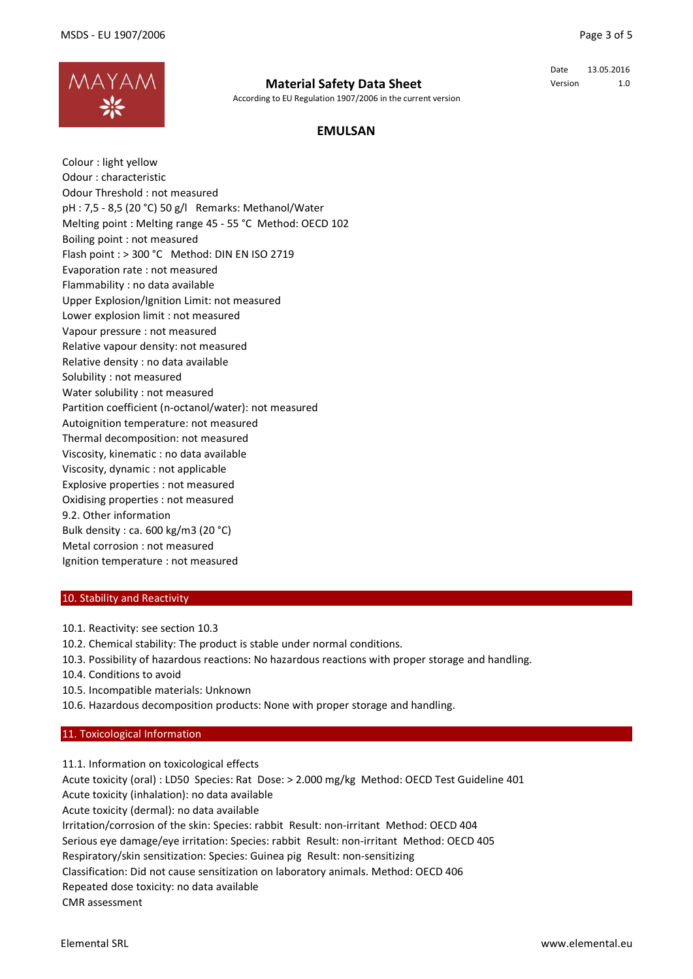

## **Material Safety Data Sheet**

According to EU Regulation 1907/2006 in the current version

Date 13.05.2016 Version 1.0

# **EMULSAN**

Colour : light yellow Odour : characteristic Odour Threshold : not measured pH : 7,5 - 8,5 (20 °C) 50 g/l Remarks: Methanol/Water Melting point : Melting range 45 - 55 °C Method: OECD 102 Boiling point : not measured Flash point : > 300 °C Method: DIN EN ISO 2719 Evaporation rate : not measured Flammability : no data available Upper Explosion/Ignition Limit: not measured Lower explosion limit : not measured Vapour pressure : not measured Relative vapour density: not measured Relative density : no data available Solubility : not measured Water solubility : not measured Partition coefficient (n-octanol/water): not measured Autoignition temperature: not measured Thermal decomposition: not measured Viscosity, kinematic : no data available Viscosity, dynamic : not applicable Explosive properties : not measured Oxidising properties : not measured 9.2. Other information Bulk density : ca. 600 kg/m3 (20 °C) Metal corrosion : not measured Ignition temperature : not measured

#### 10. Stability and Reactivity

- 10.1. Reactivity: see section 10.3
- 10.2. Chemical stability: The product is stable under normal conditions.
- 10.3. Possibility of hazardous reactions: No hazardous reactions with proper storage and handling.
- 10.4. Conditions to avoid
- 10.5. Incompatible materials: Unknown
- 10.6. Hazardous decomposition products: None with proper storage and handling.

#### 11. Toxicological Information

11.1. Information on toxicological effects Acute toxicity (oral) : LD50 Species: Rat Dose: > 2.000 mg/kg Method: OECD Test Guideline 401 Acute toxicity (inhalation): no data available Acute toxicity (dermal): no data available Irritation/corrosion of the skin: Species: rabbit Result: non-irritant Method: OECD 404 Serious eye damage/eye irritation: Species: rabbit Result: non-irritant Method: OECD 405 Respiratory/skin sensitization: Species: Guinea pig Result: non-sensitizing Classification: Did not cause sensitization on laboratory animals. Method: OECD 406 Repeated dose toxicity: no data available CMR assessment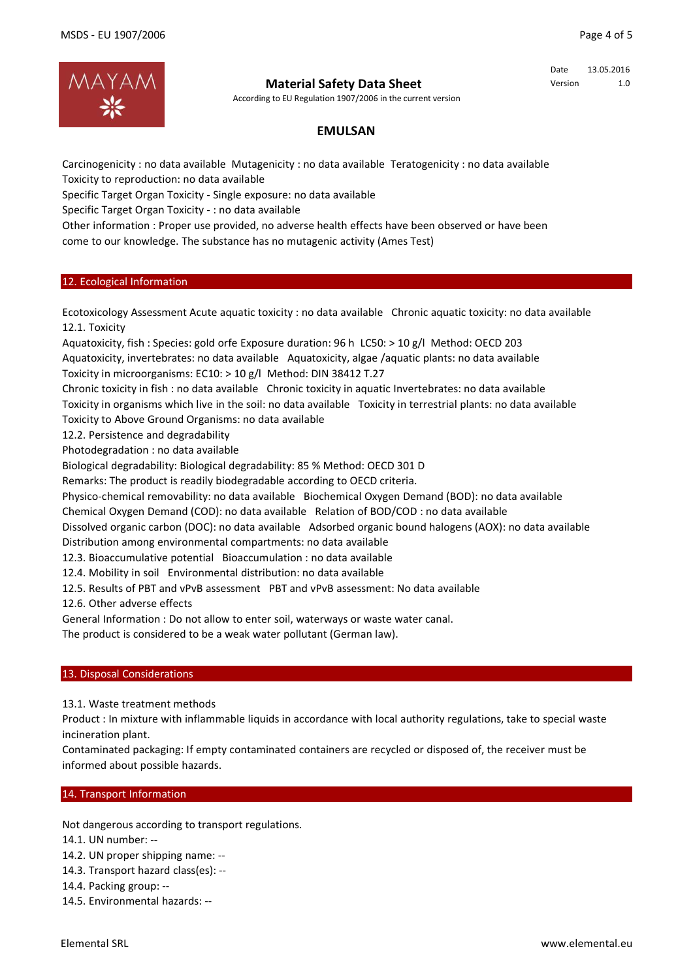

# **Material Safety Data Sheet**

According to EU Regulation 1907/2006 in the current version

Date 13.05.2016 Version 1.0

# **EMULSAN**

Carcinogenicity : no data available Mutagenicity : no data available Teratogenicity : no data available Toxicity to reproduction: no data available

Specific Target Organ Toxicity - Single exposure: no data available

Specific Target Organ Toxicity - : no data available

Other information : Proper use provided, no adverse health effects have been observed or have been come to our knowledge. The substance has no mutagenic activity (Ames Test)

## 12. Ecological Information

Ecotoxicology Assessment Acute aquatic toxicity : no data available Chronic aquatic toxicity: no data available 12.1. Toxicity

Aquatoxicity, fish : Species: gold orfe Exposure duration: 96 h LC50: > 10 g/l Method: OECD 203 Aquatoxicity, invertebrates: no data available Aquatoxicity, algae /aquatic plants: no data available Toxicity in microorganisms: EC10: > 10 g/l Method: DIN 38412 T.27

Chronic toxicity in fish : no data available Chronic toxicity in aquatic Invertebrates: no data available

Toxicity in organisms which live in the soil: no data available Toxicity in terrestrial plants: no data available

Toxicity to Above Ground Organisms: no data available

12.2. Persistence and degradability

Photodegradation : no data available

Biological degradability: Biological degradability: 85 % Method: OECD 301 D

Remarks: The product is readily biodegradable according to OECD criteria.

Physico-chemical removability: no data available Biochemical Oxygen Demand (BOD): no data available

Chemical Oxygen Demand (COD): no data available Relation of BOD/COD : no data available

Dissolved organic carbon (DOC): no data available Adsorbed organic bound halogens (AOX): no data available Distribution among environmental compartments: no data available

12.3. Bioaccumulative potential Bioaccumulation : no data available

12.4. Mobility in soil Environmental distribution: no data available

12.5. Results of PBT and vPvB assessment PBT and vPvB assessment: No data available

12.6. Other adverse effects

General Information : Do not allow to enter soil, waterways or waste water canal.

The product is considered to be a weak water pollutant (German law).

### 13. Disposal Considerations

13.1. Waste treatment methods

Product : In mixture with inflammable liquids in accordance with local authority regulations, take to special waste incineration plant.

Contaminated packaging: If empty contaminated containers are recycled or disposed of, the receiver must be informed about possible hazards.

## 14. Transport Information

Not dangerous according to transport regulations.

14.1. UN number: --

- 14.2. UN proper shipping name: --
- 14.3. Transport hazard class(es): --
- 14.4. Packing group: --
- 14.5. Environmental hazards: --